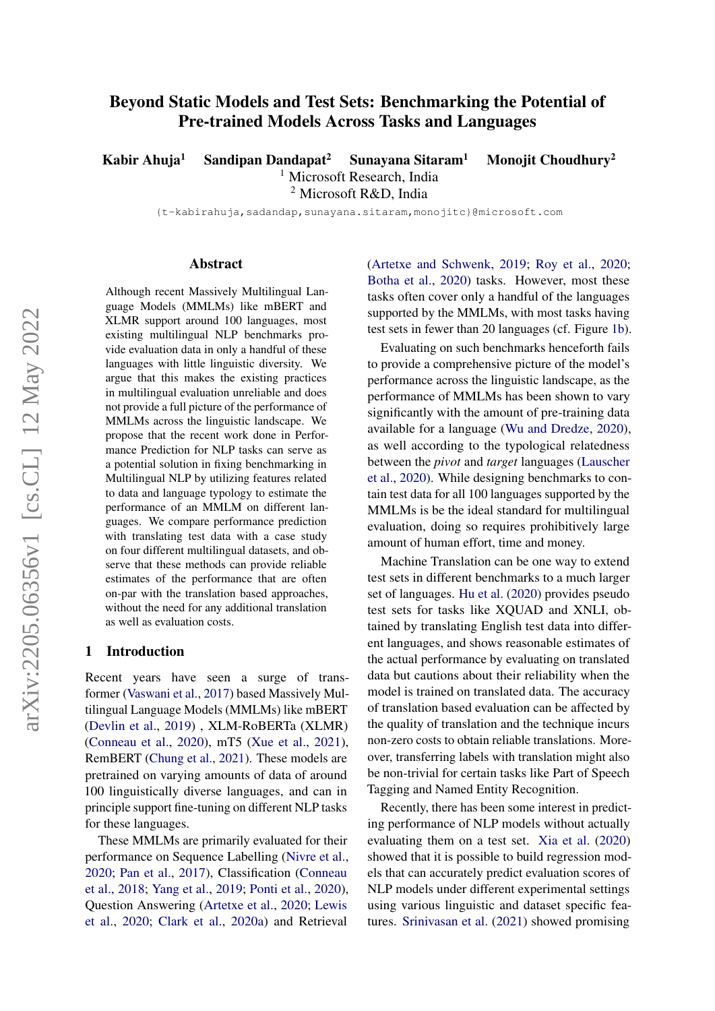# Beyond Static Models and Test Sets: Benchmarking the Potential of Pre-trained Models Across Tasks and Languages

Kabir Ahuja<sup>1</sup> Sandipan Dandapat<sup>2</sup> Sunayana Sitaram<sup>1</sup> Monojit Choudhury<sup>2</sup>

<sup>1</sup> Microsoft Research, India <sup>2</sup> Microsoft R&D, India

{t-kabirahuja,sadandap,sunayana.sitaram,monojitc}@microsoft.com

#### Abstract

Although recent Massively Multilingual Language Models (MMLMs) like mBERT and XLMR support around 100 languages, most existing multilingual NLP benchmarks provide evaluation data in only a handful of these languages with little linguistic diversity. We argue that this makes the existing practices in multilingual evaluation unreliable and does not provide a full picture of the performance of MMLMs across the linguistic landscape. We propose that the recent work done in Performance Prediction for NLP tasks can serve as a potential solution in fixing benchmarking in Multilingual NLP by utilizing features related to data and language typology to estimate the performance of an MMLM on different languages. We compare performance prediction with translating test data with a case study on four different multilingual datasets, and observe that these methods can provide reliable estimates of the performance that are often on-par with the translation based approaches, without the need for any additional translation as well as evaluation costs.

#### 1 Introduction

Recent years have seen a surge of transformer [\(Vaswani et al.,](#page-7-0) [2017\)](#page-7-0) based Massively Multilingual Language Models (MMLMs) like mBERT [\(Devlin et al.,](#page-6-0) [2019\)](#page-6-0) , XLM-RoBERTa (XLMR) [\(Conneau et al.,](#page-6-1) [2020\)](#page-6-1), mT5 [\(Xue et al.,](#page-8-0) [2021\)](#page-8-0), RemBERT [\(Chung et al.,](#page-6-2) [2021\)](#page-6-2). These models are pretrained on varying amounts of data of around 100 linguistically diverse languages, and can in principle support fine-tuning on different NLP tasks for these languages.

These MMLMs are primarily evaluated for their performance on Sequence Labelling [\(Nivre et al.,](#page-7-1) [2020;](#page-7-1) [Pan et al.,](#page-7-2) [2017\)](#page-7-2), Classification [\(Conneau](#page-6-3) [et al.,](#page-6-3) [2018;](#page-6-3) [Yang et al.,](#page-8-1) [2019;](#page-8-1) [Ponti et al.,](#page-7-3) [2020\)](#page-7-3), Question Answering [\(Artetxe et al.,](#page-6-4) [2020;](#page-6-4) [Lewis](#page-6-5) [et al.,](#page-6-5) [2020;](#page-6-5) [Clark et al.,](#page-6-6) [2020a\)](#page-6-6) and Retrieval [\(Artetxe and Schwenk,](#page-6-7) [2019;](#page-6-7) [Roy et al.,](#page-7-4) [2020;](#page-7-4) [Botha et al.,](#page-6-8) [2020\)](#page-6-8) tasks. However, most these tasks often cover only a handful of the languages supported by the MMLMs, with most tasks having test sets in fewer than 20 languages (cf. Figure [1b\)](#page-1-0).

Evaluating on such benchmarks henceforth fails to provide a comprehensive picture of the model's performance across the linguistic landscape, as the performance of MMLMs has been shown to vary significantly with the amount of pre-training data available for a language [\(Wu and Dredze,](#page-7-5) [2020\)](#page-7-5), as well according to the typological relatedness between the *pivot* and *target* languages [\(Lauscher](#page-6-9) [et al.,](#page-6-9) [2020\)](#page-6-9). While designing benchmarks to contain test data for all 100 languages supported by the MMLMs is be the ideal standard for multilingual evaluation, doing so requires prohibitively large amount of human effort, time and money.

Machine Translation can be one way to extend test sets in different benchmarks to a much larger set of languages. [Hu et al.](#page-6-10) [\(2020\)](#page-6-10) provides pseudo test sets for tasks like XQUAD and XNLI, obtained by translating English test data into different languages, and shows reasonable estimates of the actual performance by evaluating on translated data but cautions about their reliability when the model is trained on translated data. The accuracy of translation based evaluation can be affected by the quality of translation and the technique incurs non-zero costs to obtain reliable translations. Moreover, transferring labels with translation might also be non-trivial for certain tasks like Part of Speech Tagging and Named Entity Recognition.

Recently, there has been some interest in predicting performance of NLP models without actually evaluating them on a test set. [Xia et al.](#page-7-6) [\(2020\)](#page-7-6) showed that it is possible to build regression models that can accurately predict evaluation scores of NLP models under different experimental settings using various linguistic and dataset specific features. [Srinivasan et al.](#page-7-7) [\(2021\)](#page-7-7) showed promising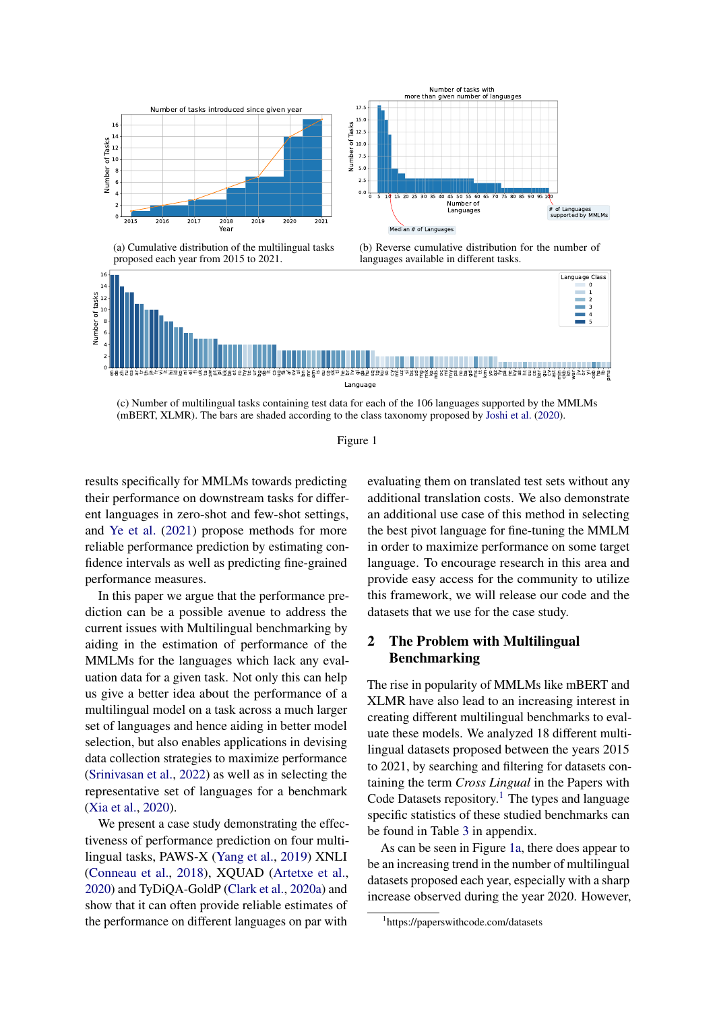<span id="page-1-0"></span>



(a) Cumulative distribution of the multilingual tasks proposed each year from 2015 to 2021.





(c) Number of multilingual tasks containing test data for each of the 106 languages supported by the MMLMs (mBERT, XLMR). The bars are shaded according to the class taxonomy proposed by [Joshi et al.](#page-6-11) [\(2020\)](#page-6-11).



results specifically for MMLMs towards predicting their performance on downstream tasks for different languages in zero-shot and few-shot settings, and [Ye et al.](#page-8-2) [\(2021\)](#page-8-2) propose methods for more reliable performance prediction by estimating confidence intervals as well as predicting fine-grained performance measures.

In this paper we argue that the performance prediction can be a possible avenue to address the current issues with Multilingual benchmarking by aiding in the estimation of performance of the MMLMs for the languages which lack any evaluation data for a given task. Not only this can help us give a better idea about the performance of a multilingual model on a task across a much larger set of languages and hence aiding in better model selection, but also enables applications in devising data collection strategies to maximize performance [\(Srinivasan et al.,](#page-7-8) [2022\)](#page-7-8) as well as in selecting the representative set of languages for a benchmark [\(Xia et al.,](#page-7-6) [2020\)](#page-7-6).

We present a case study demonstrating the effectiveness of performance prediction on four multilingual tasks, PAWS-X [\(Yang et al.,](#page-8-1) [2019\)](#page-8-1) XNLI [\(Conneau et al.,](#page-6-3) [2018\)](#page-6-3), XQUAD [\(Artetxe et al.,](#page-6-4) [2020\)](#page-6-4) and TyDiQA-GoldP [\(Clark et al.,](#page-6-6) [2020a\)](#page-6-6) and show that it can often provide reliable estimates of the performance on different languages on par with

evaluating them on translated test sets without any additional translation costs. We also demonstrate an additional use case of this method in selecting the best pivot language for fine-tuning the MMLM in order to maximize performance on some target language. To encourage research in this area and provide easy access for the community to utilize this framework, we will release our code and the datasets that we use for the case study.

## <span id="page-1-2"></span>2 The Problem with Multilingual Benchmarking

The rise in popularity of MMLMs like mBERT and XLMR have also lead to an increasing interest in creating different multilingual benchmarks to evaluate these models. We analyzed 18 different multilingual datasets proposed between the years 2015 to 2021, by searching and filtering for datasets containing the term *Cross Lingual* in the Papers with Code Datasets repository.<sup>[1](#page-1-1)</sup> The types and language specific statistics of these studied benchmarks can be found in Table [3](#page-10-0) in appendix.

As can be seen in Figure [1a,](#page-1-0) there does appear to be an increasing trend in the number of multilingual datasets proposed each year, especially with a sharp increase observed during the year 2020. However,

<span id="page-1-1"></span><sup>1</sup> https://paperswithcode.com/datasets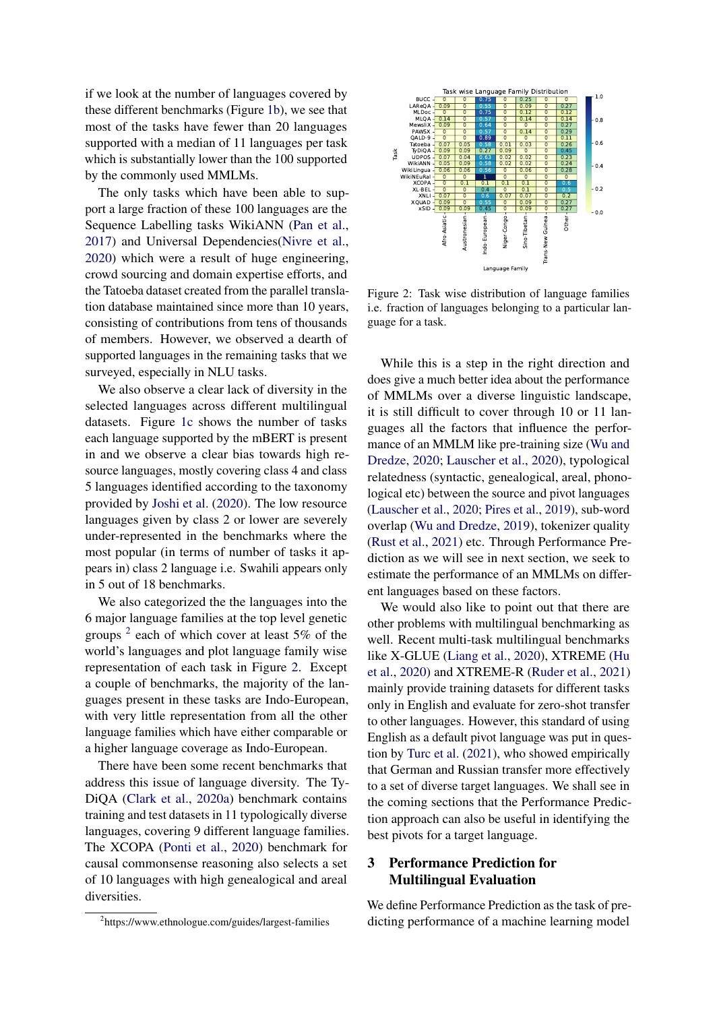if we look at the number of languages covered by these different benchmarks (Figure [1b\)](#page-1-0), we see that most of the tasks have fewer than 20 languages supported with a median of 11 languages per task which is substantially lower than the 100 supported by the commonly used MMLMs.

The only tasks which have been able to support a large fraction of these 100 languages are the Sequence Labelling tasks WikiANN [\(Pan et al.,](#page-7-2) [2017\)](#page-7-2) and Universal Dependencies[\(Nivre et al.,](#page-7-1) [2020\)](#page-7-1) which were a result of huge engineering, crowd sourcing and domain expertise efforts, and the Tatoeba dataset created from the parallel translation database maintained since more than 10 years, consisting of contributions from tens of thousands of members. However, we observed a dearth of supported languages in the remaining tasks that we surveyed, especially in NLU tasks.

We also observe a clear lack of diversity in the selected languages across different multilingual datasets. Figure [1c](#page-1-0) shows the number of tasks each language supported by the mBERT is present in and we observe a clear bias towards high resource languages, mostly covering class 4 and class 5 languages identified according to the taxonomy provided by [Joshi et al.](#page-6-11) [\(2020\)](#page-6-11). The low resource languages given by class 2 or lower are severely under-represented in the benchmarks where the most popular (in terms of number of tasks it appears in) class 2 language i.e. Swahili appears only in 5 out of 18 benchmarks. hence Labelling lasks Which NM one at al., and the state is a state of the state of the state of the state of the state of the state of the state of the state of the state of the state of the state of the state of the sta

We also categorized the the languages into the 6 major language families at the top level genetic groups  $2$  each of which cover at least 5% of the world's languages and plot language family wise representation of each task in Figure [2.](#page-2-1) Except a couple of benchmarks, the majority of the languages present in these tasks are Indo-European, with very little representation from all the other language families which have either comparable or a higher language coverage as Indo-European.

There have been some recent benchmarks that address this issue of language diversity. The Ty-DiQA [\(Clark et al.,](#page-6-6) [2020a\)](#page-6-6) benchmark contains training and test datasets in 11 typologically diverse languages, covering 9 different language families. The XCOPA [\(Ponti et al.,](#page-7-3) [2020\)](#page-7-3) benchmark for causal commonsense reasoning also selects a set of 10 languages with high genealogical and areal diversities.

<span id="page-2-1"></span>

Figure 2: Task wise distribution of language families i.e. fraction of languages belonging to a particular language for a task.

While this is a step in the right direction and does give a much better idea about the performance of MMLMs over a diverse linguistic landscape, it is still difficult to cover through 10 or 11 languages all the factors that influence the performance of an MMLM like pre-training size [\(Wu and](#page-7-5) [Dredze,](#page-7-5) [2020;](#page-7-5) [Lauscher et al.,](#page-6-9) [2020\)](#page-6-9), typological relatedness (syntactic, genealogical, areal, phonological etc) between the source and pivot languages [\(Lauscher et al.,](#page-6-9) [2020;](#page-6-9) [Pires et al.,](#page-7-9) [2019\)](#page-7-9), sub-word overlap [\(Wu and Dredze,](#page-7-10) [2019\)](#page-7-10), tokenizer quality [\(Rust et al.,](#page-7-11) [2021\)](#page-7-11) etc. Through Performance Prediction as we will see in next section, we seek to estimate the performance of an MMLMs on different languages based on these factors.

We would also like to point out that there are other problems with multilingual benchmarking as well. Recent multi-task multilingual benchmarks like X-GLUE [\(Liang et al.,](#page-6-12) [2020\)](#page-6-12), XTREME [\(Hu](#page-6-10) [et al.,](#page-6-10) [2020\)](#page-6-10) and XTREME-R [\(Ruder et al.,](#page-7-12) [2021\)](#page-7-12) mainly provide training datasets for different tasks only in English and evaluate for zero-shot transfer to other languages. However, this standard of using English as a default pivot language was put in question by [Turc et al.](#page-7-13) [\(2021\)](#page-7-13), who showed empirically that German and Russian transfer more effectively to a set of diverse target languages. We shall see in the coming sections that the Performance Prediction approach can also be useful in identifying the best pivots for a target language.

## 3 Performance Prediction for Multilingual Evaluation

We define Performance Prediction as the task of predicting performance of a machine learning model

<span id="page-2-0"></span> ${}^{2}$ https://www.ethnologue.com/guides/largest-families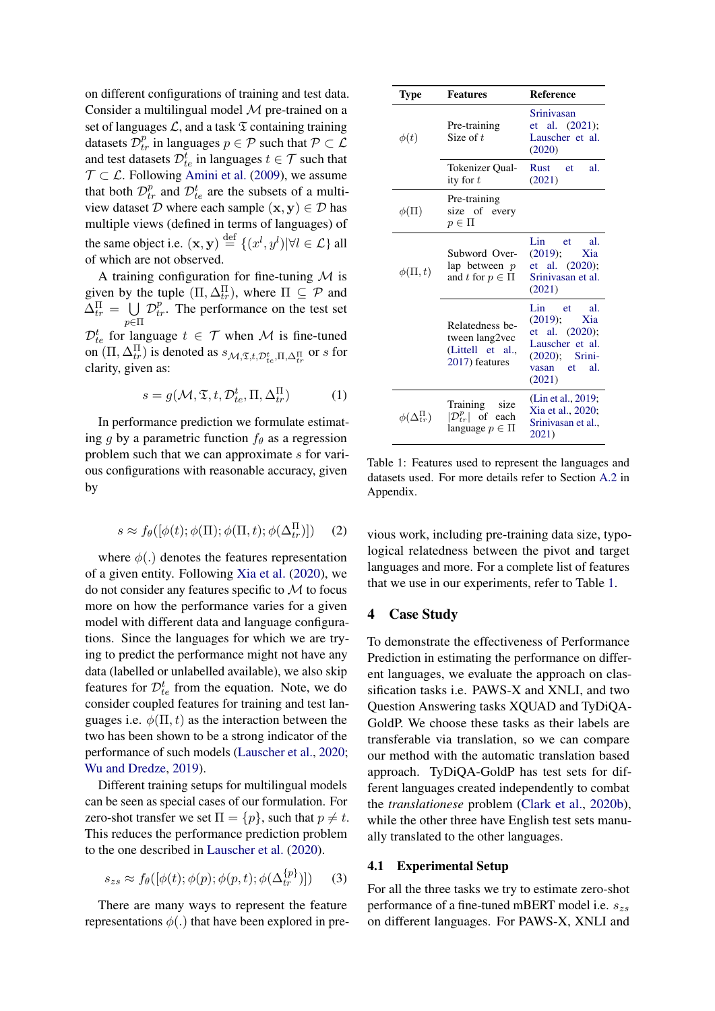on different configurations of training and test data. Consider a multilingual model  $M$  pre-trained on a set of languages  $\mathcal{L}$ , and a task  $\mathfrak T$  containing training datasets  $\mathcal{D}_{tr}^p$  in languages  $p \in \mathcal{P}$  such that  $\mathcal{P} \subset \mathcal{L}$ and test datasets  $\mathcal{D}_{te}^{t}$  in languages  $t \in \mathcal{T}$  such that  $\mathcal{T} \subset \mathcal{L}$ . Following [Amini et al.](#page-6-13) [\(2009\)](#page-6-13), we assume that both  $\mathcal{D}_{tr}^p$  and  $\mathcal{D}_{te}^t$  are the subsets of a multiview dataset D where each sample  $(x, y) \in D$  has multiple views (defined in terms of languages) of the same object i.e.  $(\mathbf{x}, \mathbf{y}) \stackrel{\text{def}}{=} \{(x^l, y^l) | \forall l \in \mathcal{L}\}\$ all of which are not observed.

A training configuration for fine-tuning  $\mathcal M$  is given by the tuple  $(\Pi, \Delta_{tr}^{\Pi})$ , where  $\Pi \subseteq \mathcal{P}$  and  $\Delta_{tr}^{\Pi} = \bigcup \mathcal{D}_{tr}^{p}$ . The performance on the test set  $_{p\in \Pi}$  $\mathcal{D}_{te}^{t}$  for language  $t \in \mathcal{T}$  when M is fine-tuned on  $(\Pi, \Delta_{tr}^{\Pi})$  is denoted as  $s_{\mathcal{M}, \mathfrak{T}, t, \mathcal{D}_{te}^t, \Pi, \Delta_{tr}^{\Pi}}$  or s for clarity, given as:

$$
s = g(\mathcal{M}, \mathfrak{T}, t, \mathcal{D}_{te}^t, \Pi, \Delta_{tr}^{\Pi})
$$
 (1)

In performance prediction we formulate estimating g by a parametric function  $f_{\theta}$  as a regression problem such that we can approximate s for various configurations with reasonable accuracy, given by

$$
s \approx f_{\theta}([\phi(t); \phi(\Pi); \phi(\Pi, t); \phi(\Delta_{tr}^{\Pi})]) \quad (2)
$$

where  $\phi(.)$  denotes the features representation of a given entity. Following [Xia et al.](#page-7-6) [\(2020\)](#page-7-6), we do not consider any features specific to  $M$  to focus more on how the performance varies for a given model with different data and language configurations. Since the languages for which we are trying to predict the performance might not have any data (labelled or unlabelled available), we also skip features for  $\mathcal{D}_{te}^{t}$  from the equation. Note, we do consider coupled features for training and test languages i.e.  $\phi(\Pi, t)$  as the interaction between the two has been shown to be a strong indicator of the performance of such models [\(Lauscher et al.,](#page-6-9) [2020;](#page-6-9) [Wu and Dredze,](#page-7-10) [2019\)](#page-7-10).

Different training setups for multilingual models can be seen as special cases of our formulation. For zero-shot transfer we set  $\Pi = \{p\}$ , such that  $p \neq t$ . This reduces the performance prediction problem to the one described in [Lauscher et al.](#page-6-9) [\(2020\)](#page-6-9).

$$
s_{zs} \approx f_{\theta}([\phi(t); \phi(p); \phi(p, t); \phi(\Delta_{tr}^{\{p\}})]) \quad (3)
$$

There are many ways to represent the feature representations  $\phi(.)$  that have been explored in pre-

<span id="page-3-0"></span>

| <b>Type</b>               | <b>Features</b>                                                         | <b>Reference</b>                                                                                                    |  |  |
|---------------------------|-------------------------------------------------------------------------|---------------------------------------------------------------------------------------------------------------------|--|--|
| $\phi(t)$                 | Pre-training<br>Size of $t$                                             | Sriniyasan<br>et al. (2021);<br>Lauscher et al.<br>(2020)                                                           |  |  |
|                           | Tokenizer Qual-<br>ity for $t$                                          | al.<br>Rust et<br>(2021)                                                                                            |  |  |
| $\phi(\Pi)$               | Pre-training<br>size of every<br>$p \in \Pi$                            |                                                                                                                     |  |  |
| $\phi(\Pi, t)$            | Subword Over-<br>lap between $p$<br>and t for $p \in \Pi$               | Lin<br>et<br>al.<br>(2019);<br>Xia<br>et al. $(2020)$ ;<br>Srinivasan et al.<br>(2021)                              |  |  |
|                           | Relatedness be-<br>tween lang2vec<br>(Littell et al.,<br>2017) features | Lin et<br>al.<br>(2019);<br>Xia<br>et al. (2020);<br>Lauscher et al.<br>$(2020)$ ; Srini-<br>vasan et al.<br>(2021) |  |  |
| $\phi(\Delta^{\Pi}_{tr})$ | Training size<br>$ \mathcal{D}_{tr}^p $ of each<br>language $p \in \Pi$ | (Lin et al., 2019;<br>Xia et al., 2020;<br>Srinivasan et al.,<br>2021)                                              |  |  |

Table 1: Features used to represent the languages and datasets used. For more details refer to Section [A.2](#page-9-0) in Appendix.

vious work, including pre-training data size, typological relatedness between the pivot and target languages and more. For a complete list of features that we use in our experiments, refer to Table [1.](#page-3-0)

#### 4 Case Study

To demonstrate the effectiveness of Performance Prediction in estimating the performance on different languages, we evaluate the approach on classification tasks i.e. PAWS-X and XNLI, and two Question Answering tasks XQUAD and TyDiQA-GoldP. We choose these tasks as their labels are transferable via translation, so we can compare our method with the automatic translation based approach. TyDiQA-GoldP has test sets for different languages created independently to combat the *translationese* problem [\(Clark et al.,](#page-6-14) [2020b\)](#page-6-14), while the other three have English test sets manually translated to the other languages.

#### 4.1 Experimental Setup

For all the three tasks we try to estimate zero-shot performance of a fine-tuned mBERT model i.e.  $s_{zs}$ on different languages. For PAWS-X, XNLI and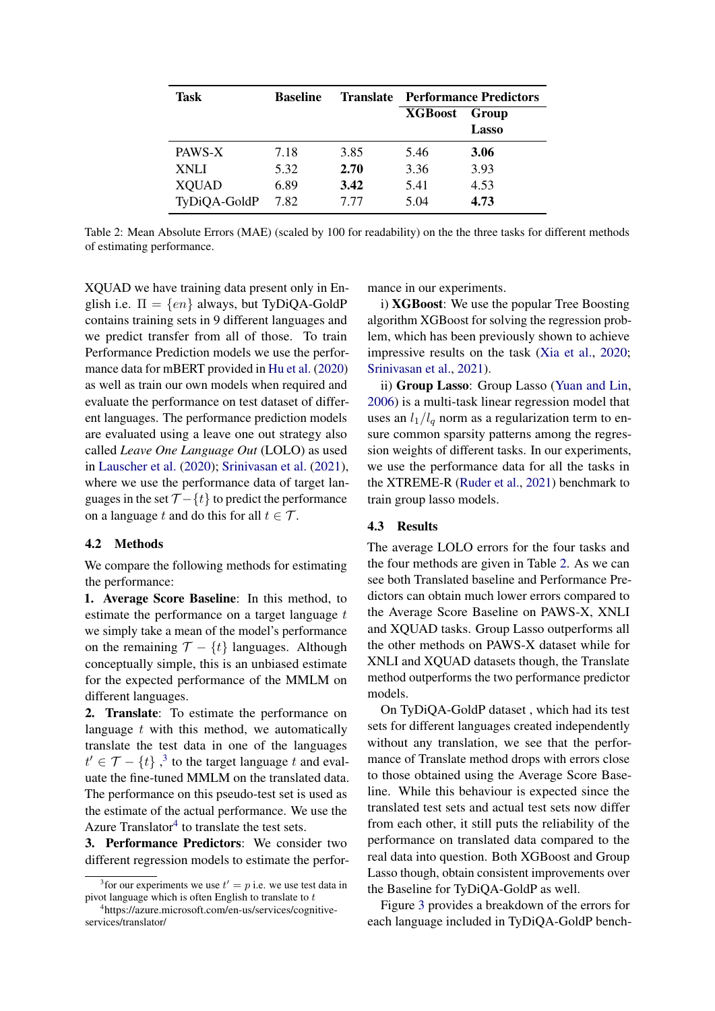<span id="page-4-2"></span>

| <b>Task</b>  | <b>Baseline</b> | <b>Translate</b> | <b>Performance Predictors</b> |       |
|--------------|-----------------|------------------|-------------------------------|-------|
|              |                 |                  | <b>XGBoost</b>                | Group |
|              |                 |                  |                               | Lasso |
| PAWS-X       | 7.18            | 3.85             | 5.46                          | 3.06  |
| <b>XNLI</b>  | 5.32            | 2.70             | 3.36                          | 3.93  |
| <b>XQUAD</b> | 6.89            | 3.42             | 5.41                          | 4.53  |
| TyDiQA-GoldP | 7.82            | 7.77             | 5.04                          | 4.73  |

Table 2: Mean Absolute Errors (MAE) (scaled by 100 for readability) on the the three tasks for different methods of estimating performance.

XQUAD we have training data present only in English i.e.  $\Pi = \{en\}$  always, but TyDiQA-GoldP contains training sets in 9 different languages and we predict transfer from all of those. To train Performance Prediction models we use the performance data for mBERT provided in [Hu et al.](#page-6-10) [\(2020\)](#page-6-10) as well as train our own models when required and evaluate the performance on test dataset of different languages. The performance prediction models are evaluated using a leave one out strategy also called *Leave One Language Out* (LOLO) as used in [Lauscher et al.](#page-6-9) [\(2020\)](#page-6-9); [Srinivasan et al.](#page-7-7) [\(2021\)](#page-7-7), where we use the performance data of target languages in the set  $\mathcal{T} - \{t\}$  to predict the performance on a language t and do this for all  $t \in \mathcal{T}$ .

#### 4.2 Methods

We compare the following methods for estimating the performance:

1. Average Score Baseline: In this method, to estimate the performance on a target language  $t$ we simply take a mean of the model's performance on the remaining  $\mathcal{T} - \{t\}$  languages. Although conceptually simple, this is an unbiased estimate for the expected performance of the MMLM on different languages.

2. Translate: To estimate the performance on language  $t$  with this method, we automatically translate the test data in one of the languages  $t' \in \mathcal{T} - \{t\}$ ,<sup>[3](#page-4-0)</sup> to the target language t and evaluate the fine-tuned MMLM on the translated data. The performance on this pseudo-test set is used as the estimate of the actual performance. We use the Azure Translator $4$  to translate the test sets.

3. Performance Predictors: We consider two different regression models to estimate the performance in our experiments.

i) XGBoost: We use the popular Tree Boosting algorithm XGBoost for solving the regression problem, which has been previously shown to achieve impressive results on the task [\(Xia et al.,](#page-7-6) [2020;](#page-7-6) [Srinivasan et al.,](#page-7-7) [2021\)](#page-7-7).

ii) Group Lasso: Group Lasso [\(Yuan and Lin,](#page-8-3) [2006\)](#page-8-3) is a multi-task linear regression model that uses an  $l_1/l_q$  norm as a regularization term to ensure common sparsity patterns among the regression weights of different tasks. In our experiments, we use the performance data for all the tasks in the XTREME-R [\(Ruder et al.,](#page-7-12) [2021\)](#page-7-12) benchmark to train group lasso models.

#### 4.3 Results

The average LOLO errors for the four tasks and the four methods are given in Table [2.](#page-4-2) As we can see both Translated baseline and Performance Predictors can obtain much lower errors compared to the Average Score Baseline on PAWS-X, XNLI and XQUAD tasks. Group Lasso outperforms all the other methods on PAWS-X dataset while for XNLI and XQUAD datasets though, the Translate method outperforms the two performance predictor models.

On TyDiQA-GoldP dataset , which had its test sets for different languages created independently without any translation, we see that the performance of Translate method drops with errors close to those obtained using the Average Score Baseline. While this behaviour is expected since the translated test sets and actual test sets now differ from each other, it still puts the reliability of the performance on translated data compared to the real data into question. Both XGBoost and Group Lasso though, obtain consistent improvements over the Baseline for TyDiQA-GoldP as well.

Figure [3](#page-5-0) provides a breakdown of the errors for each language included in TyDiQA-GoldP bench-

<span id="page-4-0"></span><sup>&</sup>lt;sup>3</sup> for our experiments we use  $t' = p$  i.e. we use test data in pivot language which is often English to translate to  $t$ 

<span id="page-4-1"></span><sup>4</sup> https://azure.microsoft.com/en-us/services/cognitiveservices/translator/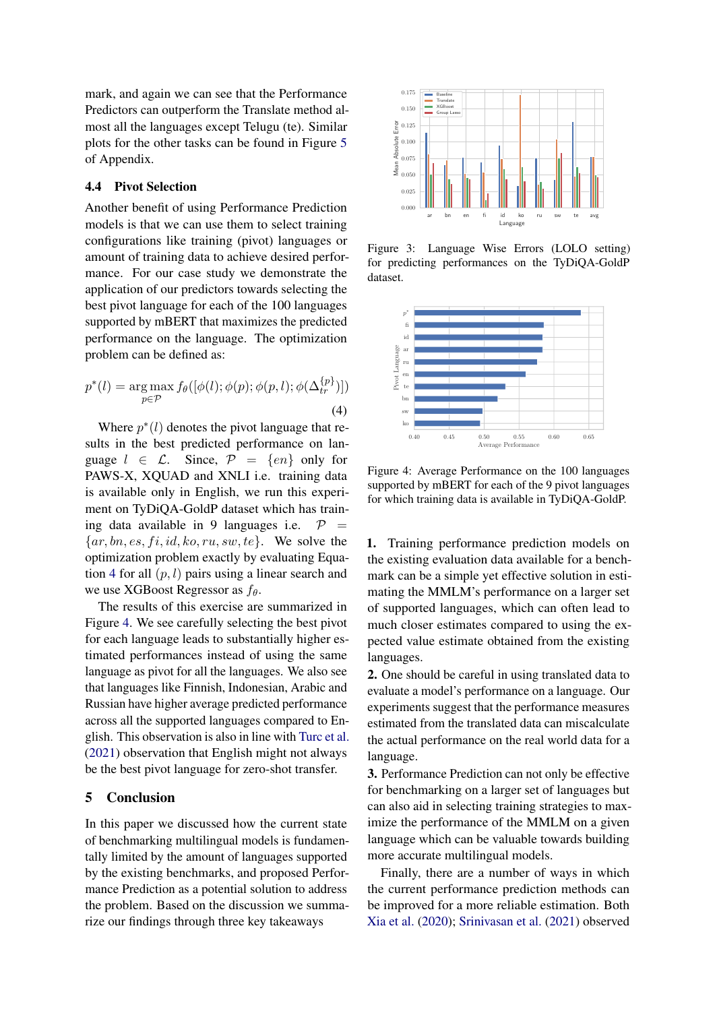mark, and again we can see that the Performance Predictors can outperform the Translate method almost all the languages except Telugu (te). Similar plots for the other tasks can be found in Figure [5](#page-10-1) of Appendix.

## 4.4 Pivot Selection

Another benefit of using Performance Prediction models is that we can use them to select training configurations like training (pivot) languages or amount of training data to achieve desired performance. For our case study we demonstrate the application of our predictors towards selecting the best pivot language for each of the 100 languages supported by mBERT that maximizes the predicted performance on the language. The optimization problem can be defined as:

<span id="page-5-1"></span>
$$
p^*(l) = \underset{p \in \mathcal{P}}{\arg \max} f_{\theta}([\phi(l); \phi(p); \phi(p, l); \phi(\Delta_{tr}^{\{p\}})])
$$
\n(4)

Where  $p^*(l)$  denotes the pivot language that results in the best predicted performance on language  $l \in \mathcal{L}$ . Since,  $\mathcal{P} = \{en\}$  only for PAWS-X, XQUAD and XNLI i.e. training data is available only in English, we run this experiment on TyDiQA-GoldP dataset which has training data available in 9 languages i.e.  $\mathcal{P}$  =  $\{ar, bn, es, fi, id, ko, ru, sw, te\}$ . We solve the optimization problem exactly by evaluating Equa-tion [4](#page-5-1) for all  $(p, l)$  pairs using a linear search and we use XGBoost Regressor as  $f_{\theta}$ .

The results of this exercise are summarized in Figure [4.](#page-5-2) We see carefully selecting the best pivot for each language leads to substantially higher estimated performances instead of using the same language as pivot for all the languages. We also see that languages like Finnish, Indonesian, Arabic and Russian have higher average predicted performance across all the supported languages compared to English. This observation is also in line with [Turc et al.](#page-7-13) [\(2021\)](#page-7-13) observation that English might not always be the best pivot language for zero-shot transfer.

#### 5 Conclusion

In this paper we discussed how the current state of benchmarking multilingual models is fundamentally limited by the amount of languages supported by the existing benchmarks, and proposed Performance Prediction as a potential solution to address the problem. Based on the discussion we summarize our findings through three key takeaways

<span id="page-5-0"></span>

Figure 3: Language Wise Errors (LOLO setting) for predicting performances on the TyDiQA-GoldP dataset.

<span id="page-5-2"></span>

Figure 4: Average Performance on the 100 languages supported by mBERT for each of the 9 pivot languages for which training data is available in TyDiQA-GoldP.

1. Training performance prediction models on the existing evaluation data available for a benchmark can be a simple yet effective solution in estimating the MMLM's performance on a larger set of supported languages, which can often lead to much closer estimates compared to using the expected value estimate obtained from the existing languages.

2. One should be careful in using translated data to evaluate a model's performance on a language. Our experiments suggest that the performance measures estimated from the translated data can miscalculate the actual performance on the real world data for a language.

3. Performance Prediction can not only be effective for benchmarking on a larger set of languages but can also aid in selecting training strategies to maximize the performance of the MMLM on a given language which can be valuable towards building more accurate multilingual models.

Finally, there are a number of ways in which the current performance prediction methods can be improved for a more reliable estimation. Both [Xia et al.](#page-7-6) [\(2020\)](#page-7-6); [Srinivasan et al.](#page-7-7) [\(2021\)](#page-7-7) observed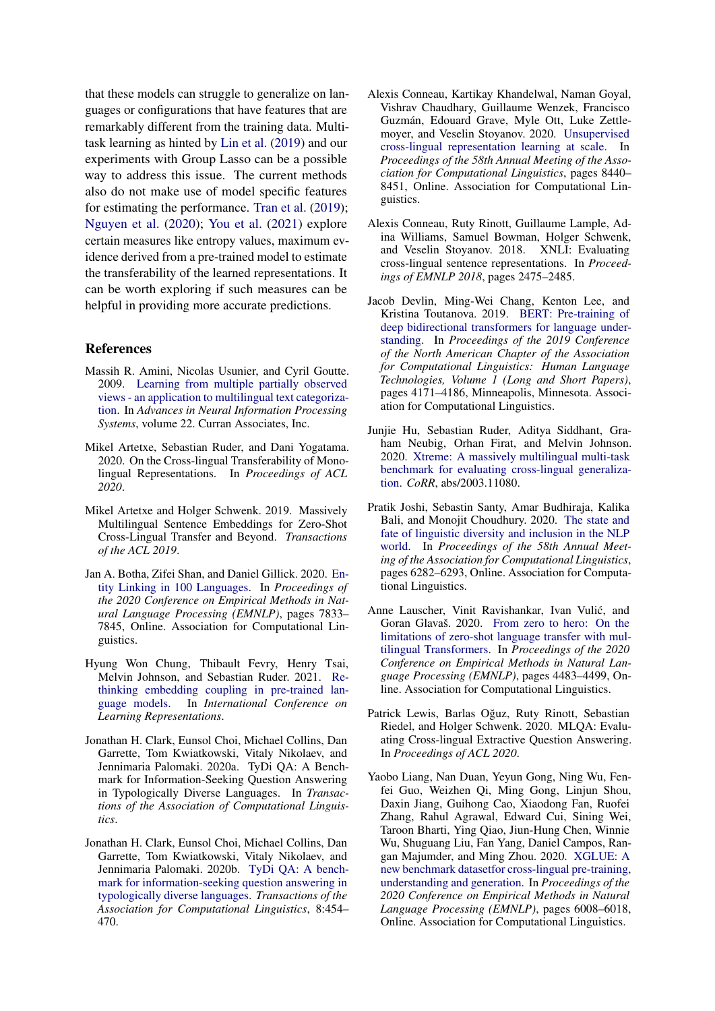that these models can struggle to generalize on languages or configurations that have features that are remarkably different from the training data. Multitask learning as hinted by [Lin et al.](#page-7-14) [\(2019\)](#page-7-14) and our experiments with Group Lasso can be a possible way to address this issue. The current methods also do not make use of model specific features for estimating the performance. [Tran et al.](#page-7-16) [\(2019\)](#page-7-16); [Nguyen et al.](#page-7-17) [\(2020\)](#page-7-17); [You et al.](#page-8-4) [\(2021\)](#page-8-4) explore certain measures like entropy values, maximum evidence derived from a pre-trained model to estimate the transferability of the learned representations. It can be worth exploring if such measures can be helpful in providing more accurate predictions.

#### References

- <span id="page-6-13"></span>Massih R. Amini, Nicolas Usunier, and Cyril Goutte. 2009. [Learning from multiple partially observed](https://proceedings.neurips.cc/paper/2009/file/f79921bbae40a577928b76d2fc3edc2a-Paper.pdf) [views - an application to multilingual text categoriza](https://proceedings.neurips.cc/paper/2009/file/f79921bbae40a577928b76d2fc3edc2a-Paper.pdf)[tion.](https://proceedings.neurips.cc/paper/2009/file/f79921bbae40a577928b76d2fc3edc2a-Paper.pdf) In *Advances in Neural Information Processing Systems*, volume 22. Curran Associates, Inc.
- <span id="page-6-4"></span>Mikel Artetxe, Sebastian Ruder, and Dani Yogatama. 2020. On the Cross-lingual Transferability of Monolingual Representations. In *Proceedings of ACL 2020*.
- <span id="page-6-7"></span>Mikel Artetxe and Holger Schwenk. 2019. Massively Multilingual Sentence Embeddings for Zero-Shot Cross-Lingual Transfer and Beyond. *Transactions of the ACL 2019*.
- <span id="page-6-8"></span>Jan A. Botha, Zifei Shan, and Daniel Gillick. 2020. [En](https://doi.org/10.18653/v1/2020.emnlp-main.630)[tity Linking in 100 Languages.](https://doi.org/10.18653/v1/2020.emnlp-main.630) In *Proceedings of the 2020 Conference on Empirical Methods in Natural Language Processing (EMNLP)*, pages 7833– 7845, Online. Association for Computational Linguistics.
- <span id="page-6-2"></span>Hyung Won Chung, Thibault Fevry, Henry Tsai, Melvin Johnson, and Sebastian Ruder. 2021. [Re](https://openreview.net/forum?id=xpFFI_NtgpW)[thinking embedding coupling in pre-trained lan](https://openreview.net/forum?id=xpFFI_NtgpW)[guage models.](https://openreview.net/forum?id=xpFFI_NtgpW) In *International Conference on Learning Representations*.
- <span id="page-6-6"></span>Jonathan H. Clark, Eunsol Choi, Michael Collins, Dan Garrette, Tom Kwiatkowski, Vitaly Nikolaev, and Jennimaria Palomaki. 2020a. TyDi QA: A Benchmark for Information-Seeking Question Answering in Typologically Diverse Languages. In *Transactions of the Association of Computational Linguistics*.
- <span id="page-6-14"></span>Jonathan H. Clark, Eunsol Choi, Michael Collins, Dan Garrette, Tom Kwiatkowski, Vitaly Nikolaev, and Jennimaria Palomaki. 2020b. [TyDi QA: A bench](https://doi.org/10.1162/tacl_a_00317)[mark for information-seeking question answering in](https://doi.org/10.1162/tacl_a_00317) [typologically diverse languages.](https://doi.org/10.1162/tacl_a_00317) *Transactions of the Association for Computational Linguistics*, 8:454– 470.
- <span id="page-6-1"></span>Alexis Conneau, Kartikay Khandelwal, Naman Goyal, Vishrav Chaudhary, Guillaume Wenzek, Francisco Guzmán, Edouard Grave, Myle Ott, Luke Zettlemoyer, and Veselin Stoyanov. 2020. [Unsupervised](https://doi.org/10.18653/v1/2020.acl-main.747) [cross-lingual representation learning at scale.](https://doi.org/10.18653/v1/2020.acl-main.747) In *Proceedings of the 58th Annual Meeting of the Association for Computational Linguistics*, pages 8440– 8451, Online. Association for Computational Linguistics.
- <span id="page-6-3"></span>Alexis Conneau, Ruty Rinott, Guillaume Lample, Adina Williams, Samuel Bowman, Holger Schwenk, and Veselin Stoyanov. 2018. XNLI: Evaluating cross-lingual sentence representations. In *Proceedings of EMNLP 2018*, pages 2475–2485.
- <span id="page-6-0"></span>Jacob Devlin, Ming-Wei Chang, Kenton Lee, and Kristina Toutanova. 2019. [BERT: Pre-training of](https://doi.org/10.18653/v1/N19-1423) [deep bidirectional transformers for language under](https://doi.org/10.18653/v1/N19-1423)[standing.](https://doi.org/10.18653/v1/N19-1423) In *Proceedings of the 2019 Conference of the North American Chapter of the Association for Computational Linguistics: Human Language Technologies, Volume 1 (Long and Short Papers)*, pages 4171–4186, Minneapolis, Minnesota. Association for Computational Linguistics.
- <span id="page-6-10"></span>Junjie Hu, Sebastian Ruder, Aditya Siddhant, Graham Neubig, Orhan Firat, and Melvin Johnson. 2020. [Xtreme: A massively multilingual multi-task](http://arxiv.org/abs/2003.11080) [benchmark for evaluating cross-lingual generaliza](http://arxiv.org/abs/2003.11080)[tion.](http://arxiv.org/abs/2003.11080) *CoRR*, abs/2003.11080.
- <span id="page-6-11"></span>Pratik Joshi, Sebastin Santy, Amar Budhiraja, Kalika Bali, and Monojit Choudhury. 2020. [The state and](https://doi.org/10.18653/v1/2020.acl-main.560) [fate of linguistic diversity and inclusion in the NLP](https://doi.org/10.18653/v1/2020.acl-main.560) [world.](https://doi.org/10.18653/v1/2020.acl-main.560) In *Proceedings of the 58th Annual Meeting of the Association for Computational Linguistics*, pages 6282–6293, Online. Association for Computational Linguistics.
- <span id="page-6-9"></span>Anne Lauscher, Vinit Ravishankar, Ivan Vulic, and ´ Goran Glavaš. 2020. [From zero to hero: On the](https://doi.org/10.18653/v1/2020.emnlp-main.363) [limitations of zero-shot language transfer with mul](https://doi.org/10.18653/v1/2020.emnlp-main.363)[tilingual Transformers.](https://doi.org/10.18653/v1/2020.emnlp-main.363) In *Proceedings of the 2020 Conference on Empirical Methods in Natural Language Processing (EMNLP)*, pages 4483–4499, Online. Association for Computational Linguistics.
- <span id="page-6-5"></span>Patrick Lewis, Barlas Oğuz, Ruty Rinott, Sebastian Riedel, and Holger Schwenk. 2020. MLQA: Evaluating Cross-lingual Extractive Question Answering. In *Proceedings of ACL 2020*.
- <span id="page-6-12"></span>Yaobo Liang, Nan Duan, Yeyun Gong, Ning Wu, Fenfei Guo, Weizhen Qi, Ming Gong, Linjun Shou, Daxin Jiang, Guihong Cao, Xiaodong Fan, Ruofei Zhang, Rahul Agrawal, Edward Cui, Sining Wei, Taroon Bharti, Ying Qiao, Jiun-Hung Chen, Winnie Wu, Shuguang Liu, Fan Yang, Daniel Campos, Rangan Majumder, and Ming Zhou. 2020. [XGLUE: A](https://doi.org/10.18653/v1/2020.emnlp-main.484) [new benchmark datasetfor cross-lingual pre-training,](https://doi.org/10.18653/v1/2020.emnlp-main.484) [understanding and generation.](https://doi.org/10.18653/v1/2020.emnlp-main.484) In *Proceedings of the 2020 Conference on Empirical Methods in Natural Language Processing (EMNLP)*, pages 6008–6018, Online. Association for Computational Linguistics.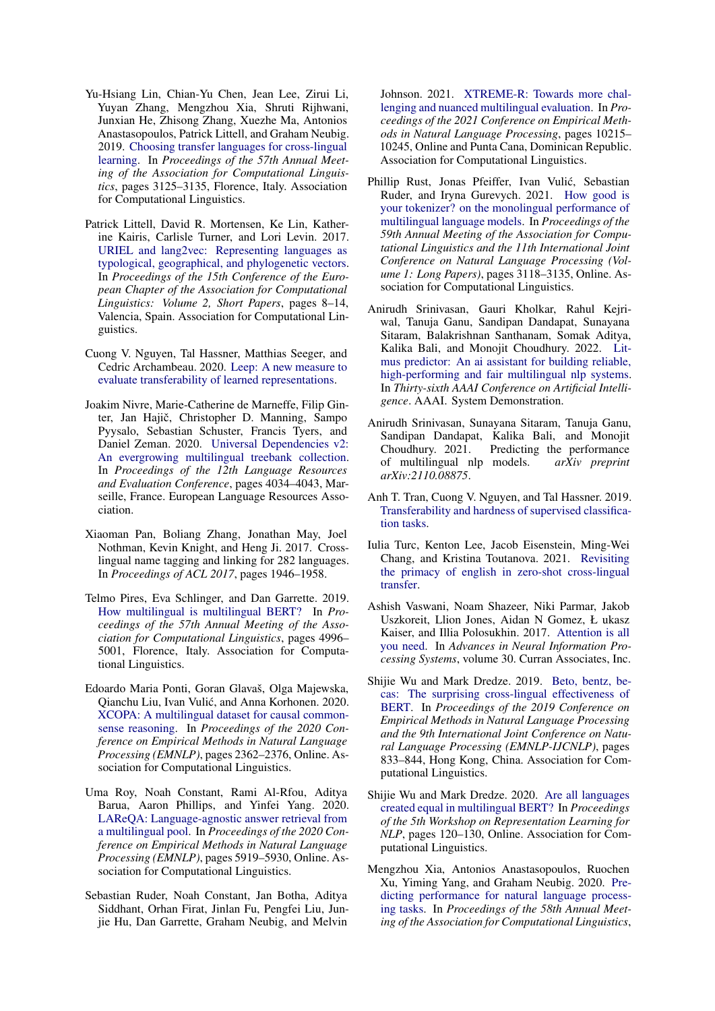- <span id="page-7-14"></span>Yu-Hsiang Lin, Chian-Yu Chen, Jean Lee, Zirui Li, Yuyan Zhang, Mengzhou Xia, Shruti Rijhwani, Junxian He, Zhisong Zhang, Xuezhe Ma, Antonios Anastasopoulos, Patrick Littell, and Graham Neubig. 2019. [Choosing transfer languages for cross-lingual](https://doi.org/10.18653/v1/P19-1301) [learning.](https://doi.org/10.18653/v1/P19-1301) In *Proceedings of the 57th Annual Meeting of the Association for Computational Linguistics*, pages 3125–3135, Florence, Italy. Association for Computational Linguistics.
- <span id="page-7-15"></span>Patrick Littell, David R. Mortensen, Ke Lin, Katherine Kairis, Carlisle Turner, and Lori Levin. 2017. [URIEL and lang2vec: Representing languages as](https://aclanthology.org/E17-2002) [typological, geographical, and phylogenetic vectors.](https://aclanthology.org/E17-2002) In *Proceedings of the 15th Conference of the European Chapter of the Association for Computational Linguistics: Volume 2, Short Papers*, pages 8–14, Valencia, Spain. Association for Computational Linguistics.
- <span id="page-7-17"></span>Cuong V. Nguyen, Tal Hassner, Matthias Seeger, and Cedric Archambeau. 2020. [Leep: A new measure to](http://arxiv.org/abs/2002.12462) [evaluate transferability of learned representations.](http://arxiv.org/abs/2002.12462)
- <span id="page-7-1"></span>Joakim Nivre, Marie-Catherine de Marneffe, Filip Ginter, Jan Hajič, Christopher D. Manning, Sampo Pyysalo, Sebastian Schuster, Francis Tyers, and Daniel Zeman. 2020. [Universal Dependencies v2:](https://aclanthology.org/2020.lrec-1.497) [An evergrowing multilingual treebank collection.](https://aclanthology.org/2020.lrec-1.497) In *Proceedings of the 12th Language Resources and Evaluation Conference*, pages 4034–4043, Marseille, France. European Language Resources Association.
- <span id="page-7-2"></span>Xiaoman Pan, Boliang Zhang, Jonathan May, Joel Nothman, Kevin Knight, and Heng Ji. 2017. Crosslingual name tagging and linking for 282 languages. In *Proceedings of ACL 2017*, pages 1946–1958.
- <span id="page-7-9"></span>Telmo Pires, Eva Schlinger, and Dan Garrette. 2019. [How multilingual is multilingual BERT?](https://doi.org/10.18653/v1/P19-1493) In *Proceedings of the 57th Annual Meeting of the Association for Computational Linguistics*, pages 4996– 5001, Florence, Italy. Association for Computational Linguistics.
- <span id="page-7-3"></span>Edoardo Maria Ponti, Goran Glavaš, Olga Majewska, Qianchu Liu, Ivan Vulic, and Anna Korhonen. 2020. ´ [XCOPA: A multilingual dataset for causal common](https://doi.org/10.18653/v1/2020.emnlp-main.185)[sense reasoning.](https://doi.org/10.18653/v1/2020.emnlp-main.185) In *Proceedings of the 2020 Conference on Empirical Methods in Natural Language Processing (EMNLP)*, pages 2362–2376, Online. Association for Computational Linguistics.
- <span id="page-7-4"></span>Uma Roy, Noah Constant, Rami Al-Rfou, Aditya Barua, Aaron Phillips, and Yinfei Yang. 2020. [LAReQA: Language-agnostic answer retrieval from](https://doi.org/10.18653/v1/2020.emnlp-main.477) [a multilingual pool.](https://doi.org/10.18653/v1/2020.emnlp-main.477) In *Proceedings of the 2020 Conference on Empirical Methods in Natural Language Processing (EMNLP)*, pages 5919–5930, Online. Association for Computational Linguistics.
- <span id="page-7-12"></span>Sebastian Ruder, Noah Constant, Jan Botha, Aditya Siddhant, Orhan Firat, Jinlan Fu, Pengfei Liu, Junjie Hu, Dan Garrette, Graham Neubig, and Melvin

Johnson. 2021. [XTREME-R: Towards more chal](https://doi.org/10.18653/v1/2021.emnlp-main.802)[lenging and nuanced multilingual evaluation.](https://doi.org/10.18653/v1/2021.emnlp-main.802) In *Proceedings of the 2021 Conference on Empirical Methods in Natural Language Processing*, pages 10215– 10245, Online and Punta Cana, Dominican Republic. Association for Computational Linguistics.

- <span id="page-7-11"></span>Phillip Rust, Jonas Pfeiffer, Ivan Vulic, Sebastian ´ Ruder, and Iryna Gurevych. 2021. [How good is](https://doi.org/10.18653/v1/2021.acl-long.243) [your tokenizer? on the monolingual performance of](https://doi.org/10.18653/v1/2021.acl-long.243) [multilingual language models.](https://doi.org/10.18653/v1/2021.acl-long.243) In *Proceedings of the 59th Annual Meeting of the Association for Computational Linguistics and the 11th International Joint Conference on Natural Language Processing (Volume 1: Long Papers)*, pages 3118–3135, Online. Association for Computational Linguistics.
- <span id="page-7-8"></span>Anirudh Srinivasan, Gauri Kholkar, Rahul Kejriwal, Tanuja Ganu, Sandipan Dandapat, Sunayana Sitaram, Balakrishnan Santhanam, Somak Aditya, Kalika Bali, and Monojit Choudhury. 2022. [Lit](https://www.microsoft.com/en-us/research/publication/litmus-predictor-an-ai-assistant-for-building-reliable-high-performing-and-fair-multilingual-nlp-systems/)[mus predictor: An ai assistant for building reliable,](https://www.microsoft.com/en-us/research/publication/litmus-predictor-an-ai-assistant-for-building-reliable-high-performing-and-fair-multilingual-nlp-systems/) [high-performing and fair multilingual nlp systems.](https://www.microsoft.com/en-us/research/publication/litmus-predictor-an-ai-assistant-for-building-reliable-high-performing-and-fair-multilingual-nlp-systems/) In *Thirty-sixth AAAI Conference on Artificial Intelligence*. AAAI. System Demonstration.
- <span id="page-7-7"></span>Anirudh Srinivasan, Sunayana Sitaram, Tanuja Ganu, Sandipan Dandapat, Kalika Bali, and Monojit Choudhury. 2021. Predicting the performance of multilingual nlp models. *arXiv preprint arXiv:2110.08875*.
- <span id="page-7-16"></span>Anh T. Tran, Cuong V. Nguyen, and Tal Hassner. 2019. [Transferability and hardness of supervised classifica](http://arxiv.org/abs/1908.08142)[tion tasks.](http://arxiv.org/abs/1908.08142)
- <span id="page-7-13"></span>Iulia Turc, Kenton Lee, Jacob Eisenstein, Ming-Wei Chang, and Kristina Toutanova. 2021. [Revisiting](http://arxiv.org/abs/2106.16171) [the primacy of english in zero-shot cross-lingual](http://arxiv.org/abs/2106.16171) [transfer.](http://arxiv.org/abs/2106.16171)
- <span id="page-7-0"></span>Ashish Vaswani, Noam Shazeer, Niki Parmar, Jakob Uszkoreit, Llion Jones, Aidan N Gomez, Ł ukasz Kaiser, and Illia Polosukhin. 2017. [Attention is all](https://proceedings.neurips.cc/paper/2017/file/3f5ee243547dee91fbd053c1c4a845aa-Paper.pdf) [you need.](https://proceedings.neurips.cc/paper/2017/file/3f5ee243547dee91fbd053c1c4a845aa-Paper.pdf) In *Advances in Neural Information Processing Systems*, volume 30. Curran Associates, Inc.
- <span id="page-7-10"></span>Shijie Wu and Mark Dredze. 2019. [Beto, bentz, be](https://doi.org/10.18653/v1/D19-1077)[cas: The surprising cross-lingual effectiveness of](https://doi.org/10.18653/v1/D19-1077) [BERT.](https://doi.org/10.18653/v1/D19-1077) In *Proceedings of the 2019 Conference on Empirical Methods in Natural Language Processing and the 9th International Joint Conference on Natural Language Processing (EMNLP-IJCNLP)*, pages 833–844, Hong Kong, China. Association for Computational Linguistics.
- <span id="page-7-5"></span>Shijie Wu and Mark Dredze. 2020. [Are all languages](https://doi.org/10.18653/v1/2020.repl4nlp-1.16) [created equal in multilingual BERT?](https://doi.org/10.18653/v1/2020.repl4nlp-1.16) In *Proceedings of the 5th Workshop on Representation Learning for NLP*, pages 120–130, Online. Association for Computational Linguistics.
- <span id="page-7-6"></span>Mengzhou Xia, Antonios Anastasopoulos, Ruochen Xu, Yiming Yang, and Graham Neubig. 2020. [Pre](https://doi.org/10.18653/v1/2020.acl-main.764)[dicting performance for natural language process](https://doi.org/10.18653/v1/2020.acl-main.764)[ing tasks.](https://doi.org/10.18653/v1/2020.acl-main.764) In *Proceedings of the 58th Annual Meeting of the Association for Computational Linguistics*,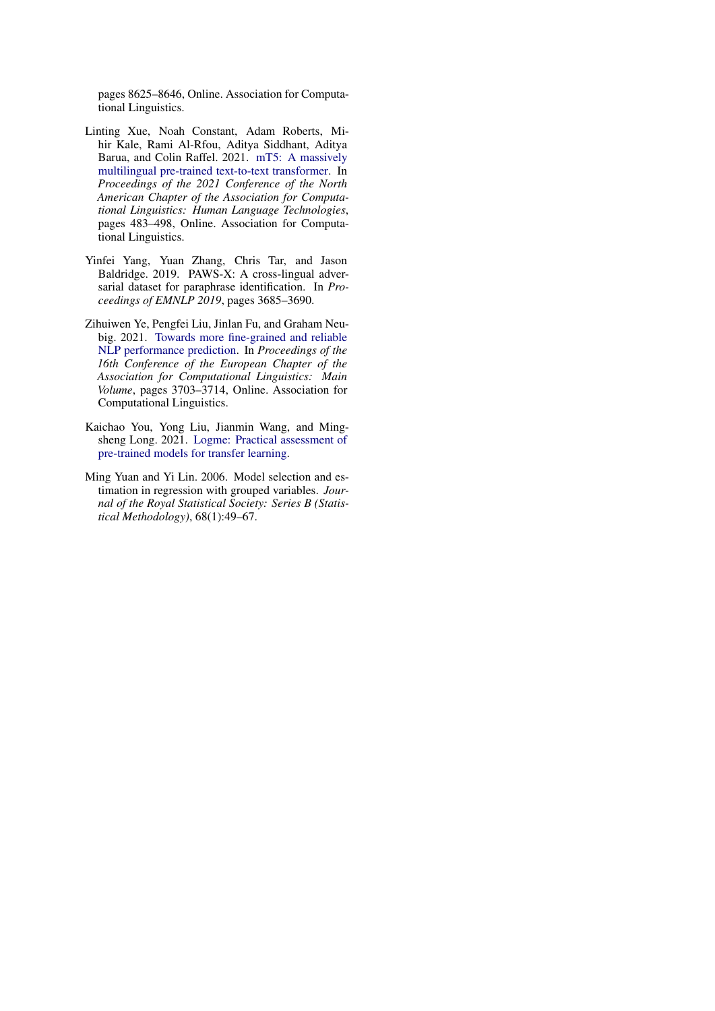pages 8625–8646, Online. Association for Computational Linguistics.

- <span id="page-8-0"></span>Linting Xue, Noah Constant, Adam Roberts, Mihir Kale, Rami Al-Rfou, Aditya Siddhant, Aditya Barua, and Colin Raffel. 2021. [mT5: A massively](https://doi.org/10.18653/v1/2021.naacl-main.41) [multilingual pre-trained text-to-text transformer.](https://doi.org/10.18653/v1/2021.naacl-main.41) In *Proceedings of the 2021 Conference of the North American Chapter of the Association for Computational Linguistics: Human Language Technologies*, pages 483–498, Online. Association for Computational Linguistics.
- <span id="page-8-1"></span>Yinfei Yang, Yuan Zhang, Chris Tar, and Jason Baldridge. 2019. PAWS-X: A cross-lingual adversarial dataset for paraphrase identification. In *Proceedings of EMNLP 2019*, pages 3685–3690.
- <span id="page-8-2"></span>Zihuiwen Ye, Pengfei Liu, Jinlan Fu, and Graham Neubig. 2021. [Towards more fine-grained and reliable](https://aclanthology.org/2021.eacl-main.324) [NLP performance prediction.](https://aclanthology.org/2021.eacl-main.324) In *Proceedings of the 16th Conference of the European Chapter of the Association for Computational Linguistics: Main Volume*, pages 3703–3714, Online. Association for Computational Linguistics.
- <span id="page-8-4"></span>Kaichao You, Yong Liu, Jianmin Wang, and Mingsheng Long. 2021. [Logme: Practical assessment of](http://arxiv.org/abs/2102.11005) [pre-trained models for transfer learning.](http://arxiv.org/abs/2102.11005)
- <span id="page-8-3"></span>Ming Yuan and Yi Lin. 2006. Model selection and estimation in regression with grouped variables. *Journal of the Royal Statistical Society: Series B (Statistical Methodology)*, 68(1):49–67.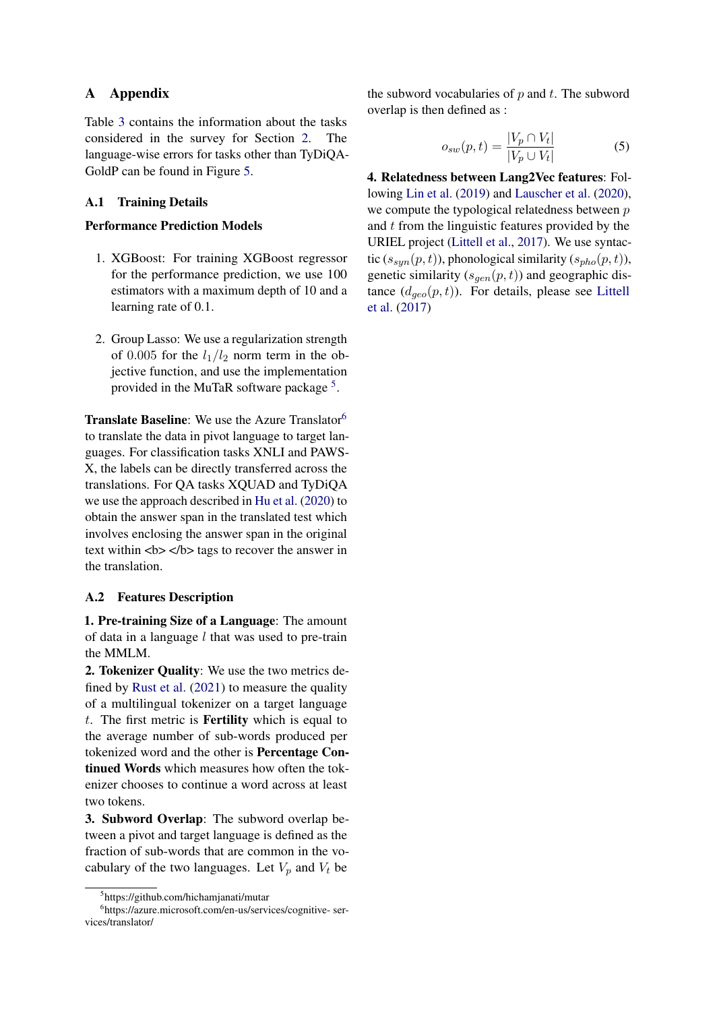## A Appendix

Table [3](#page-10-0) contains the information about the tasks considered in the survey for Section [2.](#page-1-2) The language-wise errors for tasks other than TyDiQA-GoldP can be found in Figure [5.](#page-10-1)

## A.1 Training Details

## Performance Prediction Models

- 1. XGBoost: For training XGBoost regressor for the performance prediction, we use 100 estimators with a maximum depth of 10 and a learning rate of 0.1.
- 2. Group Lasso: We use a regularization strength of 0.005 for the  $l_1/l_2$  norm term in the objective function, and use the implementation provided in the MuTaR software package<sup>[5](#page-9-1)</sup>.

**Translate Baseline:** We use the Azure Translator<sup>[6](#page-9-2)</sup> to translate the data in pivot language to target languages. For classification tasks XNLI and PAWS-X, the labels can be directly transferred across the translations. For QA tasks XQUAD and TyDiQA we use the approach described in [Hu et al.](#page-6-10) [\(2020\)](#page-6-10) to obtain the answer span in the translated test which involves enclosing the answer span in the original text within  $$ the translation.

### <span id="page-9-0"></span>A.2 Features Description

1. Pre-training Size of a Language: The amount of data in a language  $l$  that was used to pre-train the MMLM.

2. Tokenizer Quality: We use the two metrics defined by [Rust et al.](#page-7-11) [\(2021\)](#page-7-11) to measure the quality of a multilingual tokenizer on a target language t. The first metric is **Fertility** which is equal to the average number of sub-words produced per tokenized word and the other is Percentage Continued Words which measures how often the tokenizer chooses to continue a word across at least two tokens.

3. Subword Overlap: The subword overlap between a pivot and target language is defined as the fraction of sub-words that are common in the vocabulary of the two languages. Let  $V_p$  and  $V_t$  be

the subword vocabularies of  $p$  and  $t$ . The subword overlap is then defined as :

$$
o_{sw}(p,t) = \frac{|V_p \cap V_t|}{|V_p \cup V_t|} \tag{5}
$$

4. Relatedness between Lang2Vec features: Following [Lin et al.](#page-7-14) [\(2019\)](#page-7-14) and [Lauscher et al.](#page-6-9) [\(2020\)](#page-6-9), we compute the typological relatedness between  $p$ and t from the linguistic features provided by the URIEL project [\(Littell et al.,](#page-7-15) [2017\)](#page-7-15). We use syntactic  $(s_{sum}(p, t))$ , phonological similarity  $(s_{nho}(p, t))$ , genetic similarity  $(s_{gen}(p, t))$  and geographic distance  $(d_{\text{geo}}(p, t))$ . For details, please see [Littell](#page-7-15) [et al.](#page-7-15) [\(2017\)](#page-7-15)

<span id="page-9-2"></span><span id="page-9-1"></span><sup>5</sup> https://github.com/hichamjanati/mutar

<sup>6</sup> https://azure.microsoft.com/en-us/services/cognitive- services/translator/